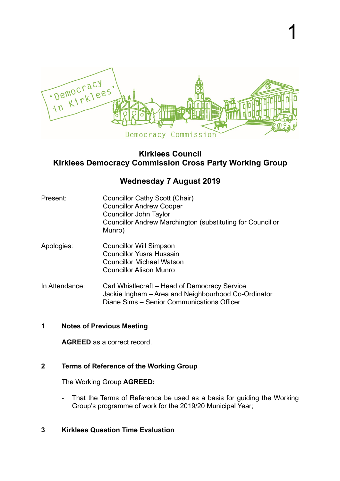

1

# **Kirklees Council Kirklees Democracy Commission Cross Party Working Group**

# **Wednesday 7 August 2019**

- Present: Councillor Cathy Scott (Chair) Councillor Andrew Cooper Councillor John Taylor Councillor Andrew Marchington (substituting for Councillor Munro)
- Apologies: Councillor Will Simpson Councillor Yusra Hussain Councillor Michael Watson Councillor Alison Munro
- In Attendance: Carl Whistlecraft Head of Democracy Service Jackie Ingham – Area and Neighbourhood Co-Ordinator Diane Sims – Senior Communications Officer

### **1 Notes of Previous Meeting**

**AGREED** as a correct record.

## **2 Terms of Reference of the Working Group**

The Working Group **AGREED:** 

- That the Terms of Reference be used as a basis for guiding the Working Group's programme of work for the 2019/20 Municipal Year;
- **3 Kirklees Question Time Evaluation**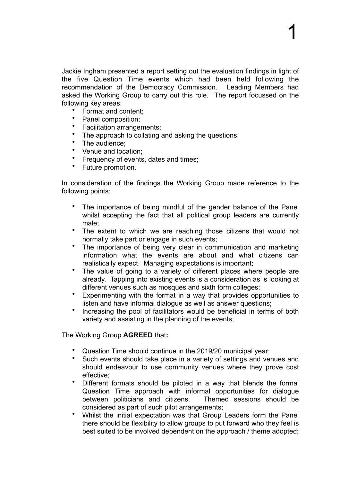Jackie Ingham presented a report setting out the evaluation findings in light of the five Question Time events which had been held following the recommendation of the Democracy Commission. Leading Members had asked the Working Group to carry out this role. The report focussed on the following key areas:

1

- Format and content;
- Panel composition;<br>• Facilitation arranger
- Facilitation arrangements;
- The approach to collating and asking the questions:
- The audience;
- Venue and location;
- Frequency of events, dates and times;
- Future promotion.

In consideration of the findings the Working Group made reference to the following points:

- The importance of being mindful of the gender balance of the Panel whilst accepting the fact that all political group leaders are currently male;
- The extent to which we are reaching those citizens that would not normally take part or engage in such events;
- The importance of being very clear in communication and marketing information what the events are about and what citizens can realistically expect. Managing expectations is important;
- The value of going to a variety of different places where people are already. Tapping into existing events is a consideration as is looking at different venues such as mosques and sixth form colleges;
- Experimenting with the format in a way that provides opportunities to listen and have informal dialogue as well as answer questions;
- Increasing the pool of facilitators would be beneficial in terms of both variety and assisting in the planning of the events;

The Working Group **AGREED** that**:** 

- Question Time should continue in the 2019/20 municipal year;
- Such events should take place in a variety of settings and venues and should endeavour to use community venues where they prove cost effective;
- Different formats should be piloted in a way that blends the formal Question Time approach with informal opportunities for dialogue between politicians and citizens. Themed sessions should be considered as part of such pilot arrangements;
- Whilst the initial expectation was that Group Leaders form the Panel there should be flexibility to allow groups to put forward who they feel is best suited to be involved dependent on the approach / theme adopted;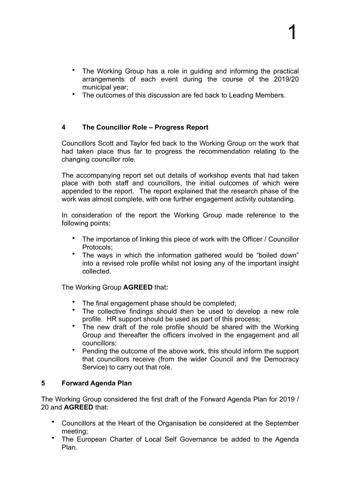- The Working Group has a role in guiding and informing the practical arrangements of each event during the course of the 2019/20 municipal year;
- The outcomes of this discussion are fed back to Leading Members.

### **4 The Councillor Role – Progress Report**

Councillors Scott and Taylor fed back to the Working Group on the work that had taken place thus far to progress the recommendation relating to the changing councillor role.

The accompanying report set out details of workshop events that had taken place with both staff and councillors, the initial outcomes of which were appended to the report. The report explained that the research phase of the work was almost complete, with one further engagement activity outstanding.

In consideration of the report the Working Group made reference to the following points:

- The importance of linking this piece of work with the Officer / Councillor Protocols;
- The ways in which the information gathered would be "boiled down" into a revised role profile whilst not losing any of the important insight collected.

The Working Group **AGREED** that**:** 

- The final engagement phase should be completed;<br>• The collective findings should then he used to c
- The collective findings should then be used to develop a new role profile. HR support should be used as part of this process;
- The new draft of the role profile should be shared with the Working Group and thereafter the officers involved in the engagement and all councillors;
- Pending the outcome of the above work, this should inform the support that councillors receive (from the wider Council and the Democracy Service) to carry out that role.

#### **5 Forward Agenda Plan**

The Working Group considered the first draft of the Forward Agenda Plan for 2019 / 20 and **AGREED** that:

- Councillors at the Heart of the Organisation be considered at the September meeting;
- The European Charter of Local Self Governance be added to the Agenda Plan.